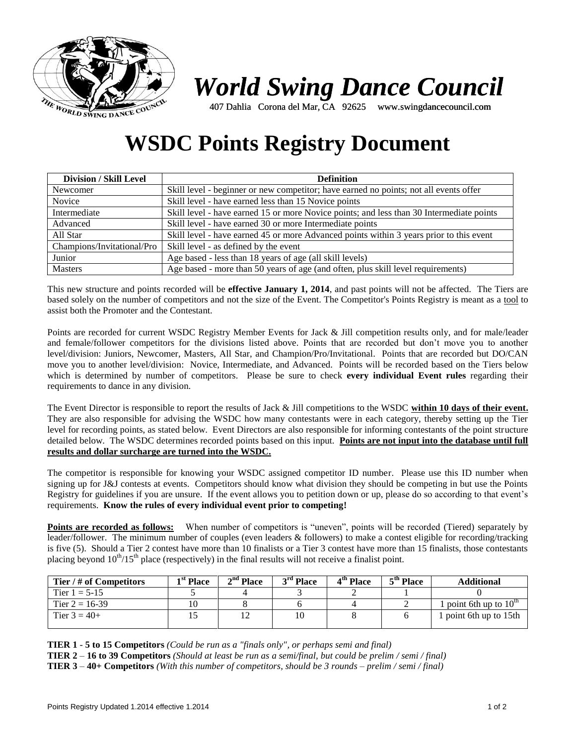

# *World Swing Dance Council*

407 Dahlia Corona del Mar, CA 92625 www.swingdancecouncil.com

## **WSDC Points Registry Document**

| <b>Division / Skill Level</b> | <b>Definition</b>                                                                        |  |  |  |  |
|-------------------------------|------------------------------------------------------------------------------------------|--|--|--|--|
| Newcomer                      | Skill level - beginner or new competitor; have earned no points; not all events offer    |  |  |  |  |
| Novice                        | Skill level - have earned less than 15 Novice points                                     |  |  |  |  |
| Intermediate                  | Skill level - have earned 15 or more Novice points; and less than 30 Intermediate points |  |  |  |  |
| Advanced                      | Skill level - have earned 30 or more Intermediate points                                 |  |  |  |  |
| All Star                      | Skill level - have earned 45 or more Advanced points within 3 years prior to this event  |  |  |  |  |
| Champions/Invitational/Pro    | Skill level - as defined by the event                                                    |  |  |  |  |
| Junior                        | Age based - less than 18 years of age (all skill levels)                                 |  |  |  |  |
| <b>Masters</b>                | Age based - more than 50 years of age (and often, plus skill level requirements)         |  |  |  |  |

This new structure and points recorded will be **effective January 1, 2014**, and past points will not be affected. The Tiers are based solely on the number of competitors and not the size of the Event. The Competitor's Points Registry is meant as a tool to assist both the Promoter and the Contestant.

Points are recorded for current WSDC Registry Member Events for Jack & Jill competition results only, and for male/leader and female/follower competitors for the divisions listed above. Points that are recorded but don't move you to another level/division: Juniors, Newcomer, Masters, All Star, and Champion/Pro/Invitational. Points that are recorded but DO/CAN move you to another level/division: Novice, Intermediate, and Advanced. Points will be recorded based on the Tiers below which is determined by number of competitors. Please be sure to check **every individual Event rules** regarding their requirements to dance in any division.

The Event Director is responsible to report the results of Jack & Jill competitions to the WSDC **within 10 days of their event.**  They are also responsible for advising the WSDC how many contestants were in each category, thereby setting up the Tier level for recording points, as stated below. Event Directors are also responsible for informing contestants of the point structure detailed below. The WSDC determines recorded points based on this input. **Points are not input into the database until full results and dollar surcharge are turned into the WSDC.** 

The competitor is responsible for knowing your WSDC assigned competitor ID number. Please use this ID number when signing up for J&J contests at events. Competitors should know what division they should be competing in but use the Points Registry for guidelines if you are unsure. If the event allows you to petition down or up, please do so according to that event's requirements. **Know the rules of every individual event prior to competing!**

**Points are recorded as follows:** When number of competitors is "uneven", points will be recorded (Tiered) separately by leader/follower. The minimum number of couples (even leaders & followers) to make a contest eligible for recording/tracking is five (5). Should a Tier 2 contest have more than 10 finalists or a Tier 3 contest have more than 15 finalists, those contestants placing beyond  $10^{th}/15^{th}$  place (respectively) in the final results will not receive a finalist point.

| Tier / # of Competitors | 1 <sup>st</sup> Place | $2nd$ Place | $3rd$ Place | 4 <sup>th</sup> Place | 5 <sup>th</sup> Place | <b>Additional</b>                             |
|-------------------------|-----------------------|-------------|-------------|-----------------------|-----------------------|-----------------------------------------------|
| Tier $1 = 5-15$         |                       |             |             |                       |                       |                                               |
| Tier $2 = 16-39$        |                       |             |             |                       |                       | <sup>1</sup> point 6th up to $10^{\text{th}}$ |
| Tier $3 = 40+$          |                       |             |             |                       |                       | point 6th up to 15th                          |

**TIER 1** - **5 to 15 Competitors** *(Could be run as a "finals only", or perhaps semi and final)*

**TIER 2** – **16 to 39 Competitors** *(Should at least be run as a semi/final, but could be prelim / semi / final)*

**TIER 3** – **40+ Competitors** *(With this number of competitors, should be 3 rounds – prelim / semi / final)*